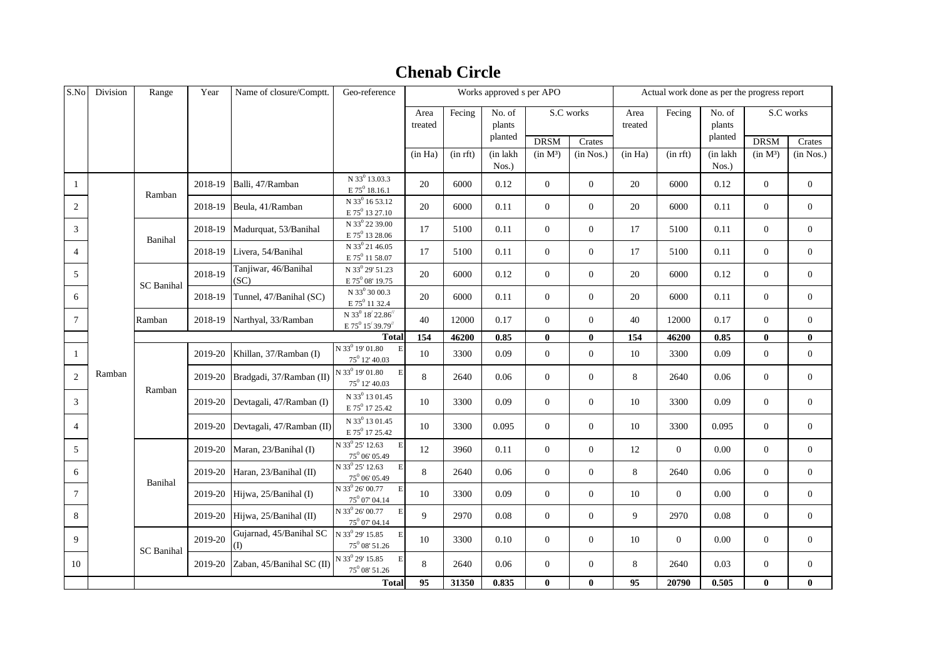## DRSM Crates DRSM Crates (in Ha) (in rft) (in lakh Nos.)  $(in M<sup>3</sup>)$   $(in Nos.)$   $(in H<sub>a</sub>)$   $(in rft)$   $(in lakh)$ Nos.)  $(in M<sup>3</sup>)$   $(in Nos.)$ 1 2018-19 Balli, 47/Ramban N 33<sup>0</sup> 13.03.3  $E 75^0 18.16.1$ 20 6000 0.12 0 0 0 20 6000 0.12 0 0  $2 \quad 2018-19$  Beula, 41/Ramban N 33<sup>0</sup> 16 53.12  $E 75^0 13 27.10$ 20 6000 0.11 0 0 0 20 6000 0.11 0 0  $\frac{3}{3}$  2018-19 Madurquat, 53/Banihal N 33 $^0$  22 39.00  $E 75^0 13 28.06$ 17 | 5100 | 0.11 | 0 | 0 | 17 | 5100 | 0.11 | 0 | 0 4  $\vert$  2018-19 Livera, 54/Banihal N 33<sup>0</sup> 21 46.05  $E 75^0 11 58.07$ 17 | 5100 | 0.11 | 0 | 0 | 17 | 5100 | 0.11 | 0 | 0 <sup>5</sup> 2018-19 Tanjiwar, 46/Banihal  $SC<sub>2</sub>$ N 33 $^0$  29' 51.23  $E$  75 $^0$  08' 19.75 20 6000 0.12 0 0 20 6000 0.12 0 0  $\begin{array}{|c|c|c|c|c|c|}\n\hline\n6 & 2018-19 & \text{Tunnel. } 47/Banihal (SC)\n\hline\n\end{array}$ N 33<sup>0</sup> 30 00.3  $E 75^0 11 32.4$ 20 6000 0.11 0 0 20 6000 0.11 0 0  $\frac{7}{7}$  Ramban 2018-19 Narthyal, 33/Ramban N 33 $^0$  18 $^{\prime}$  22.86 $^{\prime\prime}$  $E$  75<sup>0</sup> 15<sup> $\prime$ </sup> 39.79<sup> $\prime$ </sup> <sup>15</sup>/ 39.79// <sup>40</sup> <sup>12000</sup> 0.17 <sup>0</sup> <sup>0</sup> <sup>40</sup> <sup>12000</sup> 0.17 <sup>0</sup> <sup>0</sup> **154 46200 0.85 0 0 154 46200 0.85 0 0** 1 2019-20 Khillan,  $37/R$ amban (I) N 33 $^0$  19' 01.80  $75^0$  12' 40.03 10 3300 0.09 0 0 0 10 3300 0.09 0 0  $\frac{2}{2}$  Ramban 2019-20 Bradgadi, 37/Ramban (II) N 33 $^{\rm 0}$  19' 01.80  $75^0$  12' 40.03 8 2640 0.06 0 0 0 8 2640 0.06 0 0  $\frac{3}{2019-20}$  Devtagali, 47/Ramban (I) N 33<sup>0</sup> 13 01.45  $E 75^0 17 25.42$ 10 3300 0.09 0 0 0 10 3300 0.09 0 0 4  $2019-20$  Devtagali, 47/Ramban (II) N 33<sup>0</sup> 13 01.45  $E 75^0 17 25.42$ 10 3300 0.095 0 0 0 10 3300 0.095 0 0 5 2019-20 Maran, 23/Banihal (I)  $N$  33<sup>0</sup> 25' 12.63  $75^0$  06' 05.49 12 3960 0.11 0 0 12 0 0.00 0 0 6 2019-20 Haran, 23/Banihal (II)  $N$  33<sup>0</sup> 25' 12.63 E  $75^0$  06' 05.49 8 2640 0.06 0 0 0 8 2640 0.06 0 0 7 2019-20 Hijwa, 25/Banihal (I)  $N$  33<sup>0</sup> 26' 00.77 E  $75^0$  07' 04.14 10 3300 0.09 0 0 0 10 0 0.00 0 0 0 8 2019-20 Hijwa,  $25/Banihal$  (II)  $N$  33 $^{0}$  26' 00.77  $75^0$  07' 04.14 9 2970 0.08 0 0 0 9 2970 0.08 0 0 9 2019-20 Gujarnad, 45/Banihal SC (I)  $N$  33<sup>0</sup> 29' 15.85 E  $75^0$  08' 51.26 10 3300 0.10 0 0 10 0 10 0.00 0 0 0 10 2019-20 Zaban, 45/Banihal SC (II)  $N$  33<sup>0</sup> 29' 15.85 E  $75^0$  08' 51.26 8 2640 0.06 0 0 0 8 2640 0.03 0 0 **95 31350 0.835 0 0 95 20790 0.505 0 0** S.No Division Range Year Name of closure/Comptt. Geo-reference Works approved s per APO Actual work done as per the progress report Area treated No. of S.C works Area Fecing No. of S.C works plants planted treated Fecing No. of plants planted Ramban Ramban Banihal SC Banihal **Total** Ramban Banihal SC Banihal Fecing **Total**

## **Chenab Circle**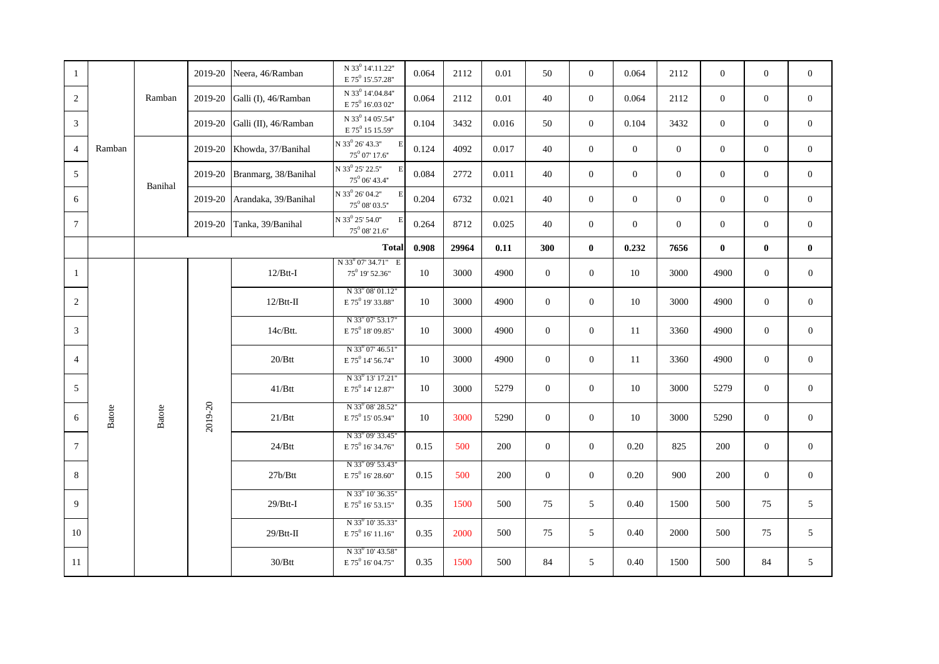| -1              |               |               |         | 2019-20 Neera, 46/Ramban        | N 33 <sup>0</sup> 14'.11.22"<br>E 75 <sup>0</sup> 15'.57.28"                                   | 0.064 | 2112  | 0.01  | 50             | $\overline{0}$ | 0.064          | 2112           | $\mathbf{0}$     | $\mathbf{0}$     | $\mathbf{0}$     |
|-----------------|---------------|---------------|---------|---------------------------------|------------------------------------------------------------------------------------------------|-------|-------|-------|----------------|----------------|----------------|----------------|------------------|------------------|------------------|
| 2               |               | Ramban        |         | 2019-20 Galli (I), $46/R$ amban | N 33 <sup>0</sup> 14'.04.84"<br>E 75 <sup>0</sup> 16'.03 02"                                   | 0.064 | 2112  | 0.01  | 40             | $\overline{0}$ | 0.064          | 2112           | $\mathbf{0}$     | $\overline{0}$   | $\mathbf{0}$     |
| 3               |               |               | 2019-20 | Galli (II), 46/Ramban           | $\hbox{N}$ $33^0$ 14 $05^\prime\hskip-2pt .54^{\prime\prime}$<br>$E$ 75 <sup>0</sup> 15 15.59" | 0.104 | 3432  | 0.016 | 50             | $\theta$       | 0.104          | 3432           | $\mathbf{0}$     | $\mathbf{0}$     | $\mathbf{0}$     |
| $\overline{4}$  | Ramban        |               |         | 2019-20 Khowda, 37/Banihal      | N 33 <sup>0</sup> 26' 43.3"<br>$\mathbf{E}$<br>$75^0$ 07' 17.6"                                | 0.124 | 4092  | 0.017 | 40             | $\overline{0}$ | $\overline{0}$ | $\overline{0}$ | $\boldsymbol{0}$ | $\boldsymbol{0}$ | $\overline{0}$   |
| 5               |               | Banihal       |         | 2019-20 Branmarg, 38/Banihal    | N 33 <sup>0</sup> 25' 22.5"<br>E<br>$75^0$ 06' 43.4"                                           | 0.084 | 2772  | 0.011 | 40             | $\mathbf{0}$   | $\mathbf{0}$   | $\mathbf{0}$   | $\mathbf{0}$     | $\boldsymbol{0}$ | $\boldsymbol{0}$ |
| 6               |               |               | 2019-20 | Arandaka, 39/Banihal            | N 33 <sup>0</sup> 26' 04.2"<br>E<br>$75^0$ 08' 03.5"                                           | 0.204 | 6732  | 0.021 | 40             | $\mathbf{0}$   | $\mathbf{0}$   | $\mathbf{0}$   | $\mathbf{0}$     | $\mathbf{0}$     | $\mathbf{0}$     |
| $7\phantom{.0}$ |               |               |         | 2019-20 Tanka, 39/Banihal       | N 33 <sup>0</sup> 25' 54.0"<br>$\mathbf{F}$<br>$75^0$ 08' 21.6"                                | 0.264 | 8712  | 0.025 | 40             | $\overline{0}$ | $\mathbf{0}$   | $\mathbf{0}$   | $\mathbf{0}$     | $\mathbf{0}$     | $\mathbf{0}$     |
|                 |               |               |         |                                 | <b>Total</b>                                                                                   | 0.908 | 29964 | 0.11  | 300            | $\mathbf{0}$   | 0.232          | 7656           | $\bf{0}$         | $\bf{0}$         | $\bf{0}$         |
| $\mathbf{1}$    |               |               |         | $12/B$ tt-I                     | N 33 <sup>0</sup> 07' 34.71" E<br>75 <sup>0</sup> 19' 52.36"                                   | 10    | 3000  | 4900  | $\overline{0}$ | $\overline{0}$ | 10             | 3000           | 4900             | $\overline{0}$   | $\mathbf{0}$     |
| 2               |               |               |         | $12/B$ tt-II                    | N 33 <sup>0</sup> 08' 01.12"<br>E 75 <sup>0</sup> 19' 33.88"                                   | 10    | 3000  | 4900  | $\overline{0}$ | $\overline{0}$ | 10             | 3000           | 4900             | $\overline{0}$   | $\mathbf{0}$     |
| 3               |               |               |         | 14c/Btt.                        | N 33 <sup>0</sup> 07' 53.17"<br>E 75 <sup>0</sup> 18' 09.85"                                   | 10    | 3000  | 4900  | $\overline{0}$ | $\overline{0}$ | 11             | 3360           | 4900             | $\mathbf{0}$     | $\overline{0}$   |
| $\overline{4}$  |               |               |         | $20/B$ tt                       | N 33 <sup>0</sup> 07' 46.51"<br>E 75 <sup>0</sup> 14' 56.74"                                   | 10    | 3000  | 4900  | $\Omega$       | $\overline{0}$ | 11             | 3360           | 4900             | $\overline{0}$   | $\mathbf{0}$     |
| 5               |               |               |         | $41/B$ tt                       | N 33 <sup>0</sup> 13' 17.21"<br>$E$ 75 <sup>0</sup> 14' 12.87"                                 | 10    | 3000  | 5279  | $\overline{0}$ | $\overline{0}$ | 10             | 3000           | 5279             | $\overline{0}$   | $\boldsymbol{0}$ |
| 6               | <b>Batote</b> | <b>Batote</b> | 2019-20 | $21/B$ tt                       | N 33 <sup>0</sup> 08' 28.52"<br>E 75 <sup>0</sup> 15' 05.94"                                   | 10    | 3000  | 5290  | $\overline{0}$ | $\overline{0}$ | 10             | 3000           | 5290             | $\overline{0}$   | $\mathbf{0}$     |
| $\tau$          |               |               |         | $24/Btt$                        | N 33 <sup>0</sup> 09' 33.45"<br>$E$ 75 <sup>0</sup> 16' 34.76"                                 | 0.15  | 500   | 200   | $\mathbf{0}$   | $\overline{0}$ | 0.20           | 825            | 200              | $\overline{0}$   | $\boldsymbol{0}$ |
| 8               |               |               |         | 27b/Btt                         | N 33 <sup>0</sup> 09' 53.43"<br>$E$ 75 <sup>0</sup> 16' 28.60"                                 | 0.15  | 500   | 200   | $\overline{0}$ | $\overline{0}$ | 0.20           | 900            | 200              | $\overline{0}$   | $\boldsymbol{0}$ |
| 9               |               |               |         | $29/B$ tt-I                     | N 33 <sup>0</sup> 10' 36.35"<br>$E 75^{0} 16' 53.15"$                                          | 0.35  | 1500  | 500   | 75             | 5              | 0.40           | 1500           | 500              | 75               | 5                |
| 10              |               |               |         | $29/B$ tt-II                    | N 33 <sup>0</sup> 10' 35.33"<br>$E 75^0 16' 11.16''$                                           | 0.35  | 2000  | 500   | 75             | 5              | 0.40           | 2000           | 500              | 75               | 5                |
| 11              |               |               |         | $30/B$ tt                       | N 33 <sup>0</sup> 10' 43.58"<br>$E 75^0 16' 04.75"$                                            | 0.35  | 1500  | 500   | 84             | 5              | 0.40           | 1500           | 500              | 84               | 5                |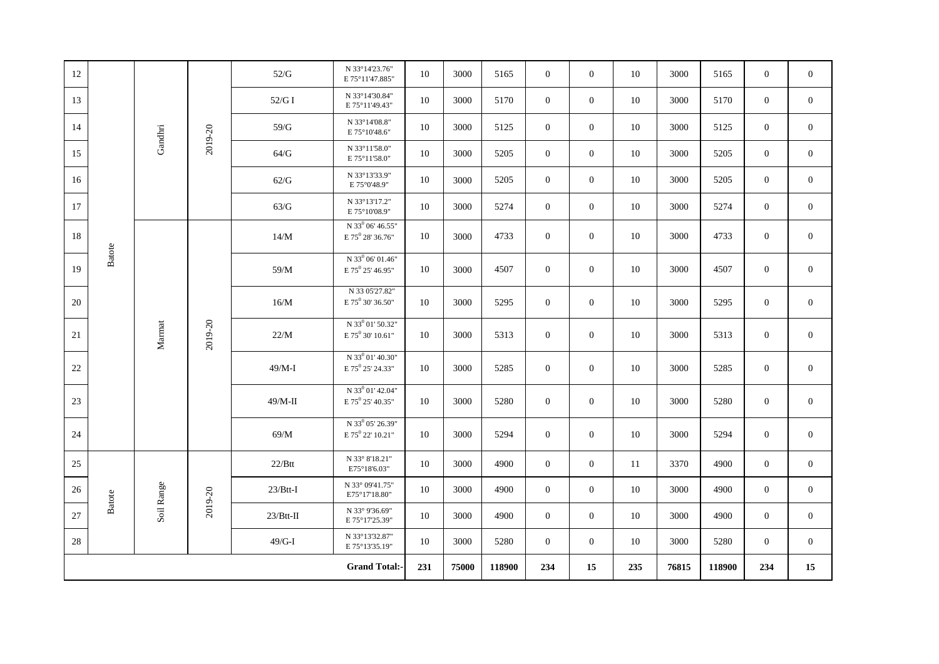| 12 |               |            |         | 52/G         | N 33°14'23.76"<br>E 75°11'47.885"                            | 10  | 3000  | 5165   | $\theta$       | $\overline{0}$ | 10  | 3000  | 5165   | $\mathbf{0}$     | $\overline{0}$ |
|----|---------------|------------|---------|--------------|--------------------------------------------------------------|-----|-------|--------|----------------|----------------|-----|-------|--------|------------------|----------------|
| 13 |               |            |         | 52/GI        | N 33°14'30.84"<br>E 75°11'49.43"                             | 10  | 3000  | 5170   | $\overline{0}$ | $\overline{0}$ | 10  | 3000  | 5170   | $\overline{0}$   | $\overline{0}$ |
| 14 |               | Gandhri    |         | 59/G         | N 33°14'08.8"<br>E 75°10'48.6"                               | 10  | 3000  | 5125   | $\overline{0}$ | $\overline{0}$ | 10  | 3000  | 5125   | $\overline{0}$   | $\overline{0}$ |
| 15 |               |            | 2019-20 | 64/G         | N 33°11'58.0"<br>E 75°11'58.0"                               | 10  | 3000  | 5205   | $\overline{0}$ | $\overline{0}$ | 10  | 3000  | 5205   | $\overline{0}$   | $\overline{0}$ |
| 16 |               |            |         | 62/G         | N 33°13'33.9"<br>E 75°0'48.9"                                | 10  | 3000  | 5205   | $\overline{0}$ | $\overline{0}$ | 10  | 3000  | 5205   | $\overline{0}$   | $\mathbf{0}$   |
| 17 |               |            |         | 63/G         | N 33°13'17.2"<br>E 75°10'08.9"                               | 10  | 3000  | 5274   | $\overline{0}$ | $\overline{0}$ | 10  | 3000  | 5274   | $\overline{0}$   | $\mathbf{0}$   |
| 18 |               |            |         | 14/M         | N 33 <sup>0</sup> 06' 46.55"<br>E $75^{\circ}$ 28' 36.76"    | 10  | 3000  | 4733   | $\overline{0}$ | $\overline{0}$ | 10  | 3000  | 4733   | $\overline{0}$   | $\mathbf{0}$   |
| 19 | <b>Batote</b> |            |         | 59/M         | N 33 <sup>0</sup> 06' 01.46"<br>$E 75^{0} 25' 46.95"$        | 10  | 3000  | 4507   | $\overline{0}$ | $\overline{0}$ | 10  | 3000  | 4507   | $\mathbf{0}$     | $\overline{0}$ |
| 20 |               |            |         | 16/M         | N 33 05'27.82"<br>E 75 <sup>0</sup> 30' 36.50"               | 10  | 3000  | 5295   | $\overline{0}$ | $\overline{0}$ | 10  | 3000  | 5295   | $\boldsymbol{0}$ | $\mathbf{0}$   |
| 21 |               | Marmat     | 2019-20 | 22/M         | $N$ 33 $^{0}$ 01' 50.32"<br>E 75 <sup>0</sup> 30' 10.61"     | 10  | 3000  | 5313   | $\overline{0}$ | $\overline{0}$ | 10  | 3000  | 5313   | $\overline{0}$   | $\mathbf{0}$   |
| 22 |               |            |         | $49/M-I$     | $N$ 33 $^{0}$ 01' 40.30"<br>E 75 <sup>0</sup> 25' 24.33"     | 10  | 3000  | 5285   | $\overline{0}$ | $\mathbf{0}$   | 10  | 3000  | 5285   | $\overline{0}$   | $\mathbf{0}$   |
| 23 |               |            |         | $49/M-II$    | N 33 <sup>0</sup> 01' 42.04"<br>E 75 <sup>0</sup> 25' 40.35" | 10  | 3000  | 5280   | $\overline{0}$ | $\overline{0}$ | 10  | 3000  | 5280   | $\overline{0}$   | $\overline{0}$ |
| 24 |               |            |         | $69/M$       | N 33 <sup>0</sup> 05' 26.39"<br>E 75 $^0$ 22' 10.21"         | 10  | 3000  | 5294   | $\overline{0}$ | $\overline{0}$ | 10  | 3000  | 5294   | $\overline{0}$   | $\mathbf{0}$   |
| 25 |               |            |         | $22/B$ tt    | N 33° 8'18.21"<br>E75°18'6.03"                               | 10  | 3000  | 4900   | $\theta$       | $\overline{0}$ | 11  | 3370  | 4900   | $\overline{0}$   | $\overline{0}$ |
| 26 | Batote        | Soil Range | 2019-20 | $23/B$ tt-I  | N 33° 09'41.75"<br>E75°17'18.80"                             | 10  | 3000  | 4900   | $\overline{0}$ | $\overline{0}$ | 10  | 3000  | 4900   | $\overline{0}$   | $\mathbf{0}$   |
| 27 |               |            |         | $23/B$ tt-II | N 33° 9'36.69"<br>E 75°17'25.39"                             | 10  | 3000  | 4900   | $\theta$       | $\overline{0}$ | 10  | 3000  | 4900   | $\overline{0}$   | $\overline{0}$ |
| 28 |               |            |         | $49/G-I$     | N 33°13'32.87"<br>E 75°13'35.19"                             | 10  | 3000  | 5280   | $\overline{0}$ | $\overline{0}$ | 10  | 3000  | 5280   | $\overline{0}$   | $\mathbf{0}$   |
|    |               |            |         |              | <b>Grand Total:-</b>                                         | 231 | 75000 | 118900 | 234            | 15             | 235 | 76815 | 118900 | 234              | 15             |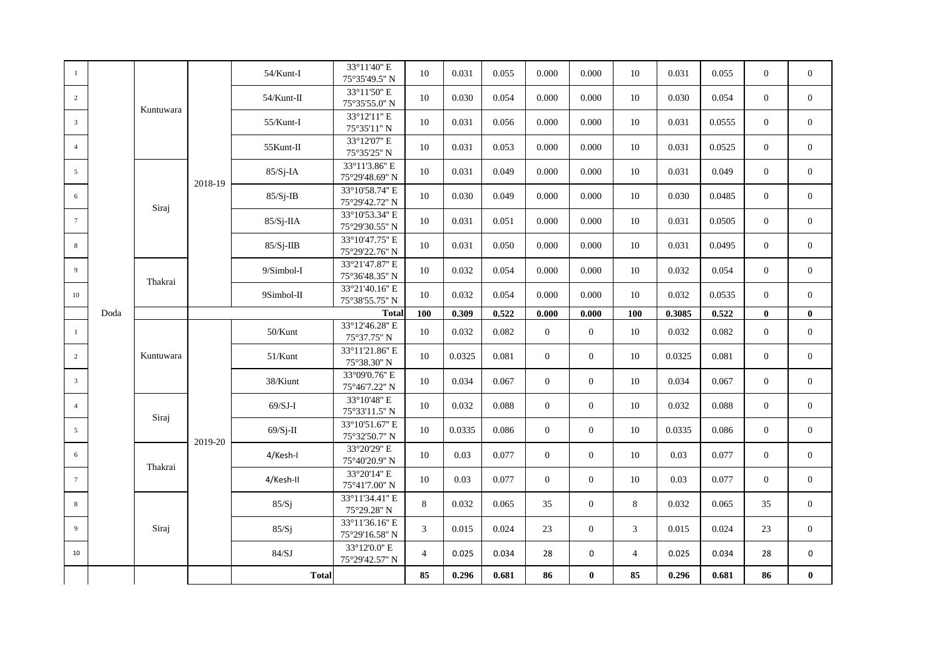| -1              |      |           |         | 54/Kunt-I     | 33°11'40" E<br>75°35'49.5" N                       | 10             | 0.031  | 0.055 | 0.000    | 0.000          | 10             | 0.031  | 0.055  | $\overline{0}$ | $\mathbf{0}$   |
|-----------------|------|-----------|---------|---------------|----------------------------------------------------|----------------|--------|-------|----------|----------------|----------------|--------|--------|----------------|----------------|
| 2               |      |           |         | $54$ /Kunt-II | 33°11'50" E<br>75°35'55.0" N                       | 10             | 0.030  | 0.054 | 0.000    | 0.000          | 10             | 0.030  | 0.054  | $\overline{0}$ | $\overline{0}$ |
| 3               |      | Kuntuwara |         | $55/K$ unt-I  | 33°12'11" E                                        | 10             | 0.031  | 0.056 | 0.000    | 0.000          | 10             | 0.031  | 0.0555 | $\overline{0}$ | $\overline{0}$ |
| $\overline{4}$  |      |           |         | 55Kunt-II     | 75°35'11" N<br>33°12'07" E                         | 10             | 0.031  | 0.053 | 0.000    | 0.000          | 10             | 0.031  | 0.0525 | $\overline{0}$ | $\overline{0}$ |
| 5               |      |           |         | $85/Sj$ -IA   | 75°35'25" N<br>33°11'3.86" E                       | 10             | 0.031  | 0.049 | 0.000    | 0.000          | 10             | 0.031  | 0.049  | $\overline{0}$ | $\mathbf{0}$   |
| 6               |      |           | 2018-19 | $85/Sj$ -IB   | 75°29'48.69" N<br>33°10'58.74" E<br>75°29'42.72" N | 10             | 0.030  | 0.049 | 0.000    | 0.000          | 10             | 0.030  | 0.0485 | $\overline{0}$ | $\mathbf{0}$   |
| $7\overline{ }$ |      | Siraj     |         | $85/Sj-IIA$   | 33°10'53.34" E<br>75°29'30.55" N                   | 10             | 0.031  | 0.051 | 0.000    | 0.000          | 10             | 0.031  | 0.0505 | $\overline{0}$ | $\overline{0}$ |
| 8               |      |           |         | $85/Sj-IIB$   | 33°10'47.75" E<br>75°29'22.76" N                   | 10             | 0.031  | 0.050 | 0.000    | 0.000          | 10             | 0.031  | 0.0495 | $\overline{0}$ | $\overline{0}$ |
| 9               |      |           |         | $9/Simbol-I$  | 33°21'47.87" E<br>75°36'48.35" N                   | 10             | 0.032  | 0.054 | 0.000    | 0.000          | 10             | 0.032  | 0.054  | $\overline{0}$ | $\mathbf{0}$   |
| 10              |      | Thakrai   |         | 9Simbol-II    | 33°21'40.16" E<br>75°38'55.75" N                   | 10             | 0.032  | 0.054 | 0.000    | 0.000          | 10             | 0.032  | 0.0535 | $\overline{0}$ | $\overline{0}$ |
|                 | Doda |           |         |               | <b>Total</b>                                       | <b>100</b>     | 0.309  | 0.522 | 0.000    | 0.000          | 100            | 0.3085 | 0.522  | $\bf{0}$       | $\bf{0}$       |
| $\mathbf{1}$    |      |           |         | 50/Kunt       | 33°12'46.28" E<br>75°37.75" N                      | 10             | 0.032  | 0.082 | $\Omega$ | $\overline{0}$ | 10             | 0.032  | 0.082  | $\overline{0}$ | $\mathbf{0}$   |
| 2               |      | Kuntuwara |         | $51/K$ unt    | 33°11'21.86" E<br>75°38.30" N                      | 10             | 0.0325 | 0.081 | $\Omega$ | $\overline{0}$ | 10             | 0.0325 | 0.081  | $\overline{0}$ | $\mathbf{0}$   |
| $\overline{3}$  |      |           |         | 38/Kiunt      | 33°09'0.76" E<br>75°46'7.22" N                     | 10             | 0.034  | 0.067 | $\Omega$ | $\overline{0}$ | 10             | 0.034  | 0.067  | $\overline{0}$ | $\mathbf{0}$   |
| $\overline{4}$  |      | Siraj     |         | $69/SJ-I$     | 33°10'48" E<br>75°33'11.5" N                       | 10             | 0.032  | 0.088 | $\Omega$ | $\Omega$       | 10             | 0.032  | 0.088  | $\overline{0}$ | $\theta$       |
| 5               |      |           | 2019-20 | $69/Sj-II$    | 33°10'51.67" E<br>75°32'50.7" N                    | 10             | 0.0335 | 0.086 | $\Omega$ | $\Omega$       | 10             | 0.0335 | 0.086  | $\overline{0}$ | $\overline{0}$ |
| 6               |      | Thakrai   |         | 4/Kesh-I      | 33°20'29" E<br>75°40'20.9" N                       | 10             | 0.03   | 0.077 | $\Omega$ | $\overline{0}$ | 10             | 0.03   | 0.077  | $\overline{0}$ | $\mathbf{0}$   |
| $\overline{7}$  |      |           |         | 4/Kesh-II     | 33°20'14" E<br>75°41'7.00" N                       | 10             | 0.03   | 0.077 | $\Omega$ | $\theta$       | 10             | 0.03   | 0.077  | $\overline{0}$ | $\mathbf{0}$   |
| 8               |      |           |         | 85/Sj         | 33°11'34.41" E<br>75°29.28" N                      | 8              | 0.032  | 0.065 | 35       | $\overline{0}$ | 8              | 0.032  | 0.065  | 35             | $\mathbf{0}$   |
| 9               |      | Siraj     |         | 85/Sj         | 33°11'36.16" E<br>75°29'16.58" N                   | 3              | 0.015  | 0.024 | 23       | $\overline{0}$ | 3              | 0.015  | 0.024  | 23             | $\mathbf{0}$   |
| 10              |      |           |         | 84/SJ         | 33°12'0.0" E<br>75°29'42.57" N                     | $\overline{4}$ | 0.025  | 0.034 | 28       | $\mathbf 0$    | $\overline{4}$ | 0.025  | 0.034  | 28             | $\mathbf 0$    |
|                 |      |           |         | <b>Total</b>  |                                                    | 85             | 0.296  | 0.681 | 86       | $\mathbf{0}$   | 85             | 0.296  | 0.681  | 86             | $\bf{0}$       |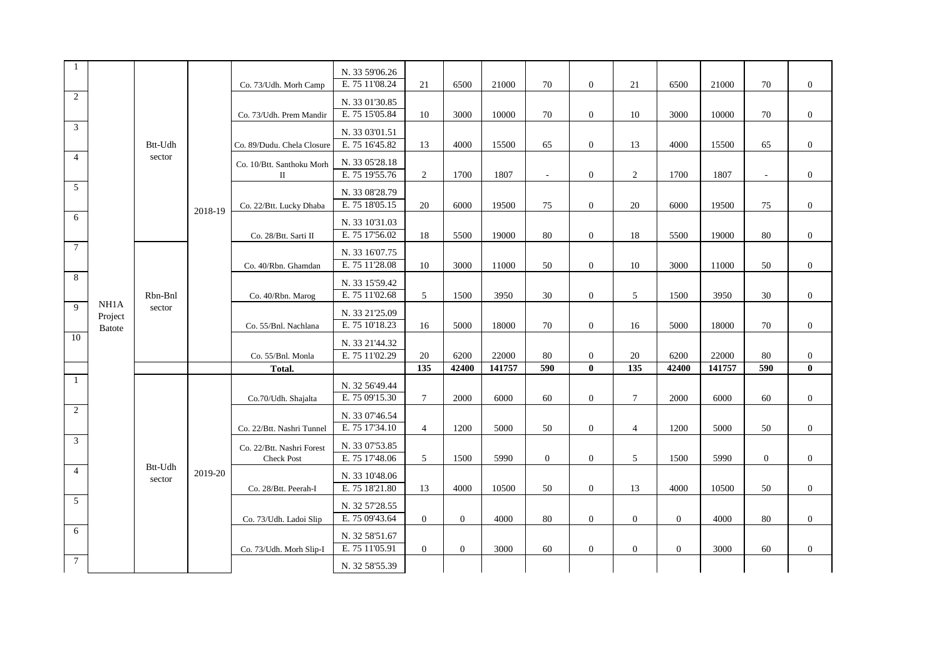| $\mathbf{1}$    |               |         |         |                                           | N. 33 59'06.26                   |                 |                |                 |                |                                |                |                |                 |              |                              |
|-----------------|---------------|---------|---------|-------------------------------------------|----------------------------------|-----------------|----------------|-----------------|----------------|--------------------------------|----------------|----------------|-----------------|--------------|------------------------------|
| 2               |               |         |         | Co. 73/Udh. Morh Camp                     | E. 75 11'08.24                   | 21              | 6500           | 21000           | 70             | $\overline{0}$                 | 21             | 6500           | 21000           | 70           | $\mathbf{0}$                 |
|                 |               |         |         |                                           | N. 33 01'30.85<br>E. 75 15'05.84 |                 |                |                 |                |                                |                |                |                 |              |                              |
| $\mathfrak{Z}$  |               |         |         | Co. 73/Udh. Prem Mandir                   |                                  | 10              | 3000           | 10000           | 70             | $\mathbf{0}$                   | 10             | 3000           | 10000           | 70           | $\mathbf{0}$                 |
|                 |               | Btt-Udh |         | Co. 89/Dudu. Chela Closure                | N. 33 03'01.51<br>E. 75 16'45.82 | 13              | 4000           | 15500           | 65             | $\overline{0}$                 | 13             | 4000           | 15500           | 65           | $\boldsymbol{0}$             |
| $\overline{4}$  |               | sector  |         |                                           |                                  |                 |                |                 |                |                                |                |                |                 |              |                              |
|                 |               |         |         | Co. 10/Btt. Santhoku Morh<br>$\mathbf{I}$ | N. 33 05'28.18<br>E. 75 19'55.76 | 2               | 1700           | 1807            | $\sim$         | $\overline{0}$                 | $\overline{2}$ | 1700           | 1807            | $\sim$       | $\mathbf{0}$                 |
| $5\overline{)}$ |               |         |         |                                           | N. 33 08'28.79                   |                 |                |                 |                |                                |                |                |                 |              |                              |
|                 |               |         |         | Co. 22/Btt. Lucky Dhaba                   | E. 75 18'05.15                   | 20              | 6000           | 19500           | 75             | $\overline{0}$                 | 20             | 6000           | 19500           | 75           | $\mathbf{0}$                 |
| 6               |               |         | 2018-19 |                                           | N. 33 10'31.03                   |                 |                |                 |                |                                |                |                |                 |              |                              |
|                 |               |         |         | Co. 28/Btt. Sarti II                      | E. 75 17'56.02                   | 18              | 5500           | 19000           | 80             | $\overline{0}$                 | 18             | 5500           | 19000           | 80           | $\mathbf{0}$                 |
| $7\overline{ }$ |               |         |         |                                           | N. 33 16'07.75                   |                 |                |                 |                |                                |                |                |                 |              |                              |
|                 |               |         |         | Co. 40/Rbn. Ghamdan                       | E. 75 11'28.08                   | 10              | 3000           | 11000           | 50             | $\overline{0}$                 | 10             | 3000           | 11000           | 50           | $\mathbf{0}$                 |
| 8               |               |         |         |                                           | N. 33 15'59.42                   |                 |                |                 |                |                                |                |                |                 |              |                              |
|                 | NH1A          | Rbn-Bnl |         | Co. 40/Rbn. Marog                         | E. 75 11'02.68                   | 5               | 1500           | 3950            | 30             | $\overline{0}$                 | 5              | 1500           | 3950            | 30           | $\mathbf{0}$                 |
| 9               | Project       | sector  |         |                                           | N. 33 21'25.09                   |                 |                |                 |                |                                |                |                |                 |              |                              |
| 10              | <b>Batote</b> |         |         | Co. 55/Bnl. Nachlana                      | E. 75 10'18.23                   | 16              | 5000           | 18000           | 70             | $\theta$                       | 16             | 5000           | 18000           | 70           | $\overline{0}$               |
|                 |               |         |         |                                           | N. 33 21'44.32                   |                 |                |                 |                |                                |                |                |                 |              |                              |
|                 |               |         |         | Co. 55/Bnl. Monla<br>Total.               | E. 75 11'02.29                   | 20<br>135       | 6200<br>42400  | 22000<br>141757 | 80<br>590      | $\overline{0}$<br>$\mathbf{0}$ | 20<br>135      | 6200<br>42400  | 22000<br>141757 | 80<br>590    | $\mathbf{0}$<br>$\mathbf{0}$ |
| $\mathbf{1}$    |               |         |         |                                           |                                  |                 |                |                 |                |                                |                |                |                 |              |                              |
|                 |               |         |         | Co.70/Udh. Shajalta                       | N. 32 56'49.44<br>E. 75 09'15.30 | $7\overline{ }$ | 2000           | 6000            | 60             | $\theta$                       | $\tau$         | 2000           | 6000            | 60           | $\overline{0}$               |
| 2               |               |         |         |                                           | N. 33 07'46.54                   |                 |                |                 |                |                                |                |                |                 |              |                              |
|                 |               |         |         | Co. 22/Btt. Nashri Tunnel                 | E. 75 17'34.10                   | $\overline{4}$  | 1200           | 5000            | 50             | $\mathbf{0}$                   | $\overline{4}$ | 1200           | 5000            | 50           | $\overline{0}$               |
| 3               |               |         |         | Co. 22/Btt. Nashri Forest                 | N. 33 07'53.85                   |                 |                |                 |                |                                |                |                |                 |              |                              |
|                 |               | Btt-Udh |         | <b>Check Post</b>                         | E. 75 17'48.06                   | 5               | 1500           | 5990            | $\overline{0}$ | $\overline{0}$                 | 5              | 1500           | 5990            | $\mathbf{0}$ | $\overline{0}$               |
| $\overline{4}$  |               | sector  | 2019-20 |                                           | N. 33 10'48.06                   |                 |                |                 |                |                                |                |                |                 |              |                              |
|                 |               |         |         | Co. 28/Btt. Peerah-I                      | E. 75 18'21.80                   | 13              | 4000           | 10500           | 50             | $\overline{0}$                 | 13             | 4000           | 10500           | 50           | $\overline{0}$               |
| $5\overline{)}$ |               |         |         |                                           | N. 32 57'28.55                   |                 |                |                 |                |                                |                |                |                 |              |                              |
| 6               |               |         |         | Co. 73/Udh. Ladoi Slip                    | E. 75 09'43.64                   | $\Omega$        | $\theta$       | 4000            | 80             | $\overline{0}$                 | $\overline{0}$ | $\overline{0}$ | 4000            | 80           | $\overline{0}$               |
|                 |               |         |         | Co. 73/Udh. Morh Slip-I                   | N. 32 58'51.67<br>E. 75 11'05.91 | $\overline{0}$  | $\overline{0}$ | 3000            | 60             | $\overline{0}$                 | $\overline{0}$ | $\overline{0}$ | 3000            | 60           | $\overline{0}$               |
|                 |               |         |         |                                           |                                  |                 |                |                 |                |                                |                |                |                 |              |                              |
| $7\phantom{.0}$ |               |         |         |                                           | N. 32 58'55.39                   |                 |                |                 |                |                                |                |                |                 |              |                              |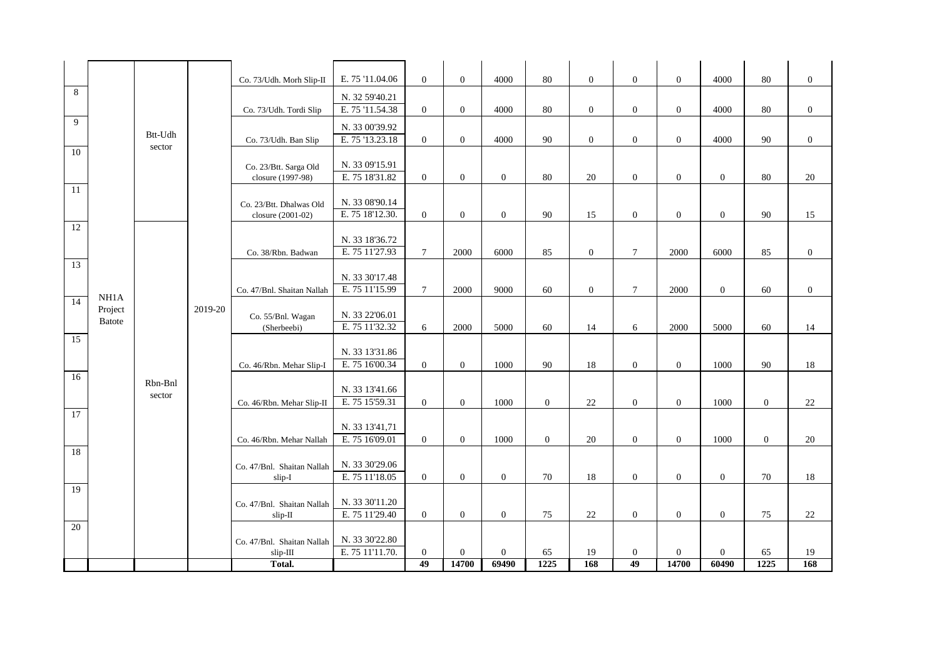| 8               |               |         |         | Co. 73/Udh. Morh Slip-II                   | E. 75 '11.04.06 | $\overline{0}$ | $\overline{0}$ | 4000           | 80             | $\overline{0}$ | $\overline{0}$   | $\overline{0}$ | 4000           | 80             | $\mathbf{0}$     |
|-----------------|---------------|---------|---------|--------------------------------------------|-----------------|----------------|----------------|----------------|----------------|----------------|------------------|----------------|----------------|----------------|------------------|
|                 |               |         |         |                                            | N. 32 59'40.21  |                |                |                |                |                |                  |                |                |                |                  |
| 9               |               |         |         | Co. 73/Udh. Tordi Slip                     | E. 75 '11.54.38 | $\overline{0}$ | $\overline{0}$ | 4000           | 80             | $\overline{0}$ | $\mathbf{0}$     | $\mathbf{0}$   | 4000           | 80             | $\mathbf{0}$     |
|                 |               | Btt-Udh |         |                                            | N. 33 00'39.92  |                |                |                |                |                |                  |                |                |                |                  |
|                 |               | sector  |         | Co. 73/Udh. Ban Slip                       | E. 75 '13.23.18 | $\overline{0}$ | $\overline{0}$ | 4000           | 90             | $\mathbf{0}$   | $\boldsymbol{0}$ | $\mathbf{0}$   | 4000           | $90\,$         | $\boldsymbol{0}$ |
| 10              |               |         |         |                                            | N. 33 09'15.91  |                |                |                |                |                |                  |                |                |                |                  |
|                 |               |         |         | Co. 23/Btt. Sarga Old<br>closure (1997-98) | E. 75 18'31.82  | $\Omega$       | $\overline{0}$ | $\overline{0}$ | 80             | 20             | $\mathbf{0}$     | $\overline{0}$ | $\overline{0}$ | 80             | 20               |
| 11              |               |         |         |                                            |                 |                |                |                |                |                |                  |                |                |                |                  |
|                 |               |         |         | Co. 23/Btt. Dhalwas Old                    | N. 33 08'90.14  |                |                |                |                |                |                  |                |                |                |                  |
|                 |               |         |         | closure (2001-02)                          | E. 75 18'12.30. | $\overline{0}$ | $\overline{0}$ | $\overline{0}$ | 90             | 15             | $\overline{0}$   | $\overline{0}$ | $\overline{0}$ | 90             | 15               |
| 12              |               |         |         |                                            | N. 33 18'36.72  |                |                |                |                |                |                  |                |                |                |                  |
|                 |               |         |         | Co. 38/Rbn. Badwan                         | E. 75 11'27.93  | $\overline{7}$ | 2000           | 6000           | 85             | $\overline{0}$ | $\tau$           | 2000           | 6000           | 85             | $\mathbf{0}$     |
| 13              |               |         |         |                                            |                 |                |                |                |                |                |                  |                |                |                |                  |
|                 |               |         |         |                                            | N. 33 30'17.48  |                |                |                |                |                |                  |                |                |                |                  |
|                 | NH1A          |         |         | Co. 47/Bnl. Shaitan Nallah                 | E. 75 11'15.99  | $\tau$         | 2000           | 9000           | 60             | $\mathbf{0}$   | $\tau$           | 2000           | $\mathbf{0}$   | 60             | $\mathbf{0}$     |
| 14              | Project       |         | 2019-20 |                                            | N. 33 22'06.01  |                |                |                |                |                |                  |                |                |                |                  |
|                 | <b>Batote</b> |         |         | Co. 55/Bnl. Wagan<br>(Sherbeebi)           | E. 75 11'32.32  | 6              | 2000           | 5000           | 60             | 14             | 6                | 2000           | 5000           | 60             | 14               |
| 15              |               |         |         |                                            |                 |                |                |                |                |                |                  |                |                |                |                  |
|                 |               |         |         |                                            | N. 33 13'31.86  |                |                |                |                |                |                  |                |                |                |                  |
|                 |               |         |         | Co. 46/Rbn. Mehar Slip-I                   | E. 75 16'00.34  | $\overline{0}$ | $\overline{0}$ | 1000           | 90             | 18             | $\mathbf{0}$     | $\mathbf{0}$   | 1000           | 90             | 18               |
| 16              |               | Rbn-Bnl |         |                                            | N. 33 13'41.66  |                |                |                |                |                |                  |                |                |                |                  |
|                 |               | sector  |         | Co. 46/Rbn. Mehar Slip-II                  | E. 75 15'59.31  | $\overline{0}$ | $\overline{0}$ | 1000           | $\overline{0}$ | 22             | $\overline{0}$   | $\overline{0}$ | 1000           | $\mathbf{0}$   | 22               |
| 17              |               |         |         |                                            |                 |                |                |                |                |                |                  |                |                |                |                  |
|                 |               |         |         |                                            | N. 33 13'41,71  |                |                |                |                |                |                  |                |                |                |                  |
|                 |               |         |         | Co. 46/Rbn. Mehar Nallah                   | E. 75 16'09.01  | $\Omega$       | $\overline{0}$ | 1000           | $\Omega$       | 20             | $\overline{0}$   | $\overline{0}$ | 1000           | $\overline{0}$ | 20               |
| 18              |               |         |         |                                            | N. 33 30'29.06  |                |                |                |                |                |                  |                |                |                |                  |
|                 |               |         |         | Co. 47/Bnl. Shaitan Nallah<br>slip-I       | E. 75 11'18.05  | $\overline{0}$ | $\overline{0}$ | $\overline{0}$ | 70             | 18             | $\mathbf{0}$     | $\mathbf{0}$   | $\overline{0}$ | 70             | 18               |
| 19              |               |         |         |                                            |                 |                |                |                |                |                |                  |                |                |                |                  |
|                 |               |         |         | Co. 47/Bnl. Shaitan Nallah                 | N. 33 30'11.20  |                |                |                |                |                |                  |                |                |                |                  |
|                 |               |         |         | slip-II                                    | E. 75 11'29.40  | $\overline{0}$ | $\overline{0}$ | $\overline{0}$ | 75             | 22             | $\overline{0}$   | $\overline{0}$ | $\overline{0}$ | 75             | 22               |
| $\overline{20}$ |               |         |         |                                            | N. 33 30'22.80  |                |                |                |                |                |                  |                |                |                |                  |
|                 |               |         |         | Co. 47/Bnl. Shaitan Nallah<br>slip-III     | E. 75 11'11.70. | $\mathbf{0}$   | $\overline{0}$ | $\overline{0}$ | 65             | 19             | $\mathbf{0}$     | $\overline{0}$ | $\mathbf{0}$   | 65             | 19               |
|                 |               |         |         | Total.                                     |                 | 49             | 14700          | 69490          | 1225           | 168            | 49               | 14700          | 60490          | 1225           | 168              |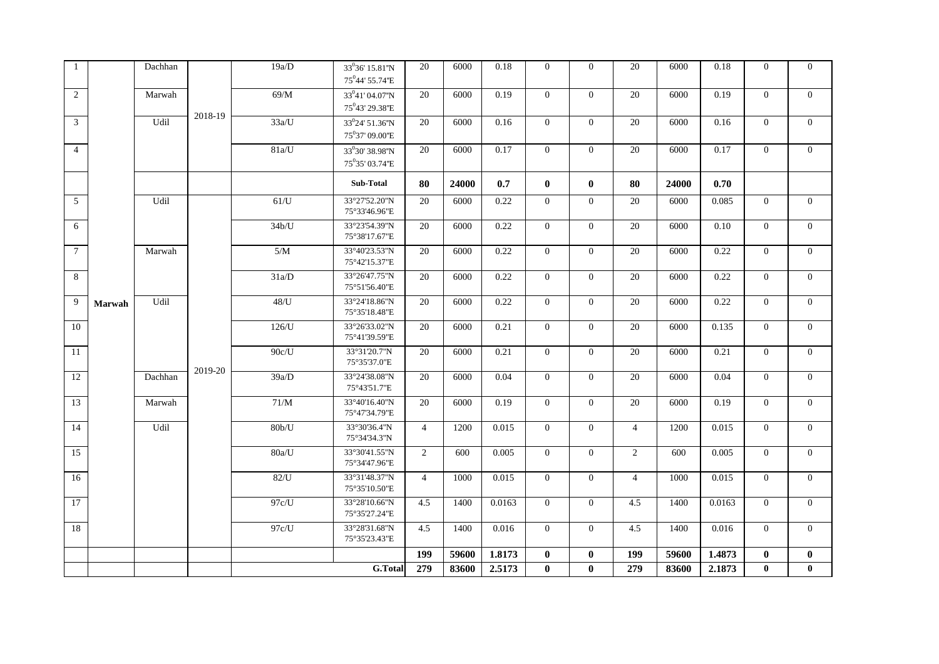| $\overline{1}$  |        | Dachhan |         | 19a/D              | 33 <sup>0</sup> 36' 15.81"N<br>75 <sup>0</sup> 44' 55.74"E | 20             | 6000  | 0.18   | $\Omega$       | $\Omega$       | 20             | 6000  | 0.18   | $\Omega$       | $\theta$       |
|-----------------|--------|---------|---------|--------------------|------------------------------------------------------------|----------------|-------|--------|----------------|----------------|----------------|-------|--------|----------------|----------------|
| $\overline{2}$  |        | Marwah  |         | $69/M$             | 33 <sup>0</sup> 41'04.07"N<br>75 <sup>0</sup> 43' 29.38"E  | 20             | 6000  | 0.19   | $\overline{0}$ | $\overline{0}$ | 20             | 6000  | 0.19   | $\overline{0}$ | $\mathbf{0}$   |
| 3               |        | Udil    | 2018-19 | 33a/U              | 33 <sup>0</sup> 24' 51.36"N<br>75°37' 09.00"E              | 20             | 6000  | 0.16   | $\overline{0}$ | $\overline{0}$ | 20             | 6000  | 0.16   | $\overline{0}$ | $\mathbf{0}$   |
| $\overline{4}$  |        |         |         | 81a/U              | 33°30' 38.98"N<br>75°35′ 03.74"E                           | 20             | 6000  | 0.17   | $\overline{0}$ | $\overline{0}$ | 20             | 6000  | 0.17   | $\overline{0}$ | $\overline{0}$ |
|                 |        |         |         |                    | Sub-Total                                                  | 80             | 24000 | 0.7    | $\mathbf{0}$   | $\mathbf{0}$   | 80             | 24000 | 0.70   |                |                |
| 5               |        | Udil    |         | 61/U               | 33°27'52.20"N<br>75°33'46.96"E                             | 20             | 6000  | 0.22   | $\overline{0}$ | $\overline{0}$ | 20             | 6000  | 0.085  | $\overline{0}$ | $\overline{0}$ |
| 6               |        |         |         | 34b/U              | 33°23'54.39"N<br>75°38'17.67"E                             | 20             | 6000  | 0.22   | $\overline{0}$ | $\overline{0}$ | 20             | 6000  | 0.10   | $\mathbf{0}$   | $\mathbf{0}$   |
| $7\phantom{.0}$ |        | Marwah  |         | 5/M                | 33°40'23.53"N<br>75°42'15.37"E                             | 20             | 6000  | 0.22   | $\overline{0}$ | $\overline{0}$ | 20             | 6000  | 0.22   | $\overline{0}$ | $\overline{0}$ |
| 8               |        |         |         | 31a/D              | 33°26'47.75"N<br>75°51'56.40"E                             | 20             | 6000  | 0.22   | $\overline{0}$ | $\overline{0}$ | 20             | 6000  | 0.22   | $\overline{0}$ | $\mathbf{0}$   |
| 9               | Marwah | Udil    |         | $48 / U$           | 33°24'18.86"N<br>75°35'18.48"E                             | 20             | 6000  | 0.22   | $\overline{0}$ | $\overline{0}$ | 20             | 6000  | 0.22   | $\mathbf{0}$   | $\overline{0}$ |
| 10              |        |         |         | 126/U              | 33°26'33.02"N<br>75°41'39.59"E                             | 20             | 6000  | 0.21   | $\theta$       | $\Omega$       | 20             | 6000  | 0.135  | $\mathbf{0}$   | $\mathbf{0}$   |
| 11              |        |         | 2019-20 | 90c/U              | 33°31'20.7"N<br>75°35'37.0"E                               | 20             | 6000  | 0.21   | $\theta$       | $\Omega$       | 20             | 6000  | 0.21   | $\overline{0}$ | $\overline{0}$ |
| 12              |        | Dachhan |         | 39a/D              | 33°24'38.08"N<br>75°43'51.7"E                              | 20             | 6000  | 0.04   | $\Omega$       | $\Omega$       | 20             | 6000  | 0.04   | $\overline{0}$ | $\overline{0}$ |
| 13              |        | Marwah  |         | 71/M               | 33°40'16.40"N<br>75°47'34.79"E                             | 20             | 6000  | 0.19   | $\Omega$       | $\Omega$       | 20             | 6000  | 0.19   | $\overline{0}$ | $\overline{0}$ |
| 14              |        | Udil    |         | 80 <sub>b</sub> /U | 33°30'36.4"N<br>75°34'34.3"N                               | $\overline{4}$ | 1200  | 0.015  | $\theta$       | $\overline{0}$ | $\overline{4}$ | 1200  | 0.015  | $\overline{0}$ | $\overline{0}$ |
| 15              |        |         |         | 80a/U              | 33°30'41.55"N<br>75°34'47.96"E                             | 2              | 600   | 0.005  | $\theta$       | $\Omega$       | 2              | 600   | 0.005  | $\overline{0}$ | $\overline{0}$ |
| 16              |        |         |         | $82/$ U            | 33°31'48.37"N<br>75°35'10.50"E                             | $\overline{4}$ | 1000  | 0.015  | $\Omega$       | $\Omega$       | $\overline{4}$ | 1000  | 0.015  | $\overline{0}$ | $\overline{0}$ |
| 17              |        |         |         | 97c/U              | 33°28'10.66"N<br>75°35'27.24"E                             | 4.5            | 1400  | 0.0163 | $\overline{0}$ | $\overline{0}$ | 4.5            | 1400  | 0.0163 | $\mathbf{0}$   | $\overline{0}$ |
| 18              |        |         |         | 97c/U              | 33°28'31.68"N<br>75°35'23.43"E                             | 4.5            | 1400  | 0.016  | $\Omega$       | $\Omega$       | 4.5            | 1400  | 0.016  | $\overline{0}$ | $\overline{0}$ |
|                 |        |         |         |                    |                                                            | 199            | 59600 | 1.8173 | $\bf{0}$       | $\bf{0}$       | 199            | 59600 | 1.4873 | $\bf{0}$       | $\bf{0}$       |
|                 |        |         |         |                    | G.Total                                                    | 279            | 83600 | 2.5173 | $\bf{0}$       | $\mathbf{0}$   | 279            | 83600 | 2.1873 | $\mathbf{0}$   | $\bf{0}$       |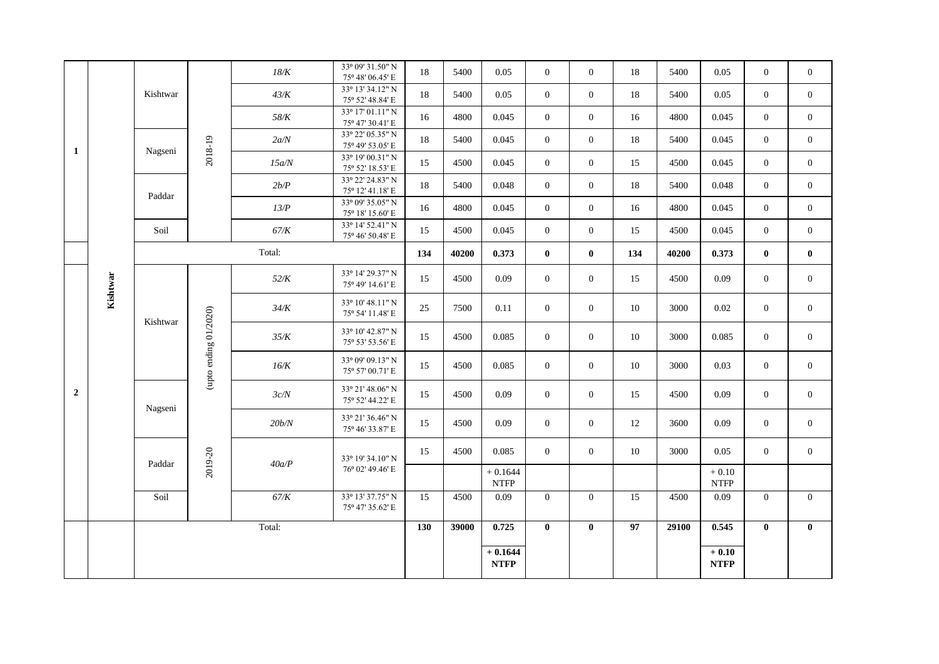|                |          |          |                          | $18/K$ | 33º 09' 31.50" N<br>75° 48′ 06.45′ E          | 18  | 5400  | 0.05                     | $\overline{0}$ | $\overline{0}$ | 18  | 5400  | 0.05                                           | $\overline{0}$ | $\overline{0}$ |
|----------------|----------|----------|--------------------------|--------|-----------------------------------------------|-----|-------|--------------------------|----------------|----------------|-----|-------|------------------------------------------------|----------------|----------------|
|                |          | Kishtwar |                          | 43/K   | 33º 13' 34.12" N<br>$75^{\rm o}$ 52' 48.84' E | 18  | 5400  | 0.05                     | $\overline{0}$ | $\overline{0}$ | 18  | 5400  | 0.05                                           | $\overline{0}$ | $\overline{0}$ |
|                |          |          |                          | 58/K   | 33º 17' 01.11" N<br>75° 47' 30.41' E          | 16  | 4800  | 0.045                    | $\overline{0}$ | $\overline{0}$ | 16  | 4800  | 0.045                                          | $\overline{0}$ | $\overline{0}$ |
| 1              |          | Nagseni  | 2018-19                  | 2a/N   | 33º 22' 05.35" N<br>75° 49' 53.05' E          | 18  | 5400  | 0.045                    | $\overline{0}$ | $\overline{0}$ | 18  | 5400  | 0.045                                          | $\overline{0}$ | $\overline{0}$ |
|                |          |          |                          | 15a/N  | 33º 19' 00.31" N<br>75° 52′ 18.53′ E          | 15  | 4500  | 0.045                    | $\overline{0}$ | $\overline{0}$ | 15  | 4500  | 0.045                                          | $\overline{0}$ | $\overline{0}$ |
|                |          | Paddar   |                          | 2b/P   | 33º 22' 24.83" N<br>$75^{\rm o}$ 12' 41.18' E | 18  | 5400  | 0.048                    | $\Omega$       | $\overline{0}$ | 18  | 5400  | 0.048                                          | $\overline{0}$ | $\overline{0}$ |
|                |          |          |                          | 13/P   | 33º 09' 35.05" N<br>75° 18′ 15.60′ E          | 16  | 4800  | 0.045                    | $\overline{0}$ | $\overline{0}$ | 16  | 4800  | 0.045                                          | $\overline{0}$ | $\overline{0}$ |
|                |          | Soil     |                          | 67/K   | 33° 14′ 52.41" N<br>75° 46' 50.48' E          | 15  | 4500  | 0.045                    | $\overline{0}$ | $\overline{0}$ | 15  | 4500  | 0.045                                          | $\overline{0}$ | $\overline{0}$ |
|                |          |          |                          | Total: |                                               | 134 | 40200 | 0.373                    | $\mathbf{0}$   | $\bf{0}$       | 134 | 40200 | 0.373                                          | $\bf{0}$       | $\bf{0}$       |
|                | Kishtwar |          |                          | 52/K   | 33º 14' 29.37" N<br>75° 49' 14.61' E          | 15  | 4500  | 0.09                     | $\overline{0}$ | $\mathbf{0}$   | 15  | 4500  | 0.09                                           | $\overline{0}$ | $\overline{0}$ |
|                |          | Kishtwar |                          | 34/K   | 33° 10' 48.11" N<br>75° 54' 11.48' E          | 25  | 7500  | 0.11                     | $\Omega$       | $\theta$       | 10  | 3000  | 0.02                                           | $\overline{0}$ | $\overline{0}$ |
|                |          |          |                          | 35/K   | 33º 10' 42.87" N<br>75° 53' 53.56' E          | 15  | 4500  | 0.085                    | $\overline{0}$ | $\overline{0}$ | 10  | 3000  | 0.085                                          | $\overline{0}$ | $\overline{0}$ |
|                |          |          | (upto ending $01/2020$ ) | 16/K   | 33° 09' 09.13" N<br>75° 57' 00.71' E          | 15  | 4500  | 0.085                    | $\overline{0}$ | $\mathbf{0}$   | 10  | 3000  | 0.03                                           | $\overline{0}$ | $\mathbf{0}$   |
| $\overline{2}$ |          |          |                          | 3c/N   | 33° 21′ 48.06" N<br>75° 52′ 44.22′ E          | 15  | 4500  | 0.09                     | $\theta$       | $\theta$       | 15  | 4500  | 0.09                                           | $\overline{0}$ | $\overline{0}$ |
|                |          | Nagseni  |                          | 20b/N  | 33º 21' 36.46" N<br>75° 46' 33.87' E          | 15  | 4500  | 0.09                     | $\overline{0}$ | $\overline{0}$ | 12  | 3600  | 0.09                                           | $\overline{0}$ | $\mathbf{0}$   |
|                |          | Paddar   | 2019-20                  | 40a/P  | 33º 19' 34.10" N                              | 15  | 4500  | 0.085                    | $\Omega$       | $\overline{0}$ | 10  | 3000  | 0.05                                           | $\overline{0}$ | $\overline{0}$ |
|                |          |          |                          |        | 76° 02′ 49.46′ E                              |     |       | $+0.1644$<br><b>NTFP</b> |                |                |     |       | $+0.10$<br><b>NTFP</b>                         |                |                |
|                |          | Soil     |                          | 67/K   | 33º 13' 37.75" N<br>75° 47' 35.62' E          | 15  | 4500  | 0.09                     | $\Omega$       | $\theta$       | 15  | 4500  | 0.09                                           | $\overline{0}$ | $\overline{0}$ |
|                |          |          |                          | Total: |                                               | 130 | 39000 | 0.725                    | $\mathbf{0}$   | $\mathbf{0}$   | 97  | 29100 | 0.545                                          | $\bf{0}$       | $\bf{0}$       |
|                |          |          |                          |        |                                               |     |       | $+0.1644$<br><b>NTFP</b> |                |                |     |       | $+0.10$<br>$\ensuremath{\textbf{NTFP}}\xspace$ |                |                |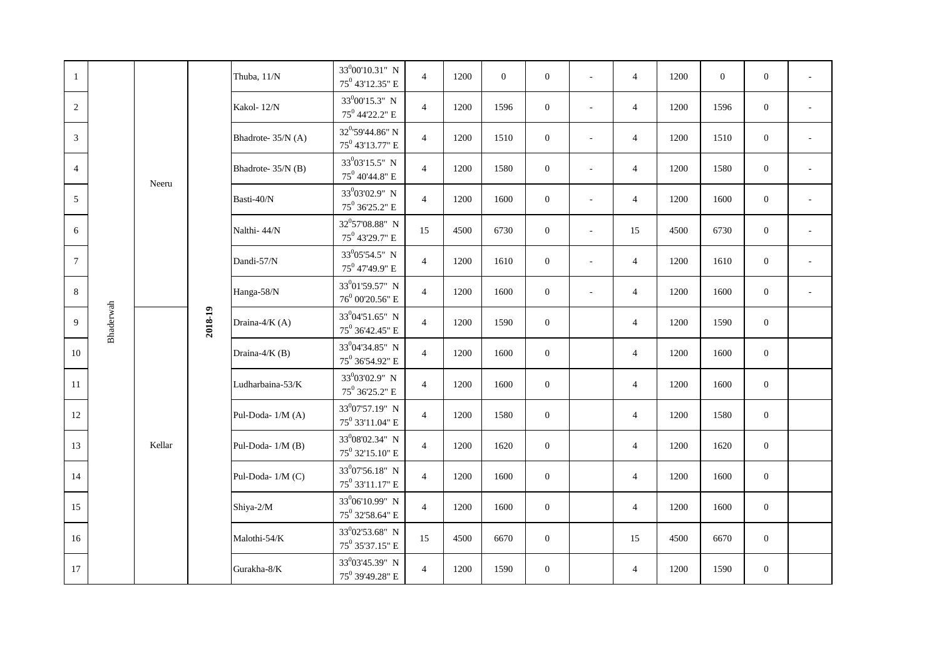| $\mathbf{1}$    |           |        |         | Thuba, 11/N        | 33 <sup>0</sup> 00'10.31" N<br>$75^0$ 43'12.35" E          | $\overline{4}$ | 1200 | $\mathbf{0}$ | $\mathbf{0}$   | $\sim$                   | $\overline{4}$ | 1200 | $\mathbf{0}$ | $\mathbf{0}$     | $\omega$                 |
|-----------------|-----------|--------|---------|--------------------|------------------------------------------------------------|----------------|------|--------------|----------------|--------------------------|----------------|------|--------------|------------------|--------------------------|
| $\overline{2}$  |           |        |         | Kakol-12/N         | 33 <sup>0</sup> 00'15.3" N<br>75 <sup>0</sup> 44'22.2" E   | $\overline{4}$ | 1200 | 1596         | $\mathbf{0}$   | $\overline{\phantom{a}}$ | $\overline{4}$ | 1200 | 1596         | $\mathbf{0}$     | $\overline{\phantom{a}}$ |
| 3               |           |        |         | Bhadrote-35/N (A)  | 32 <sup>0</sup> '59'44.86" N<br>$75^0$ 43'13.77" E         | $\overline{4}$ | 1200 | 1510         | $\mathbf{0}$   | ÷,                       | $\overline{4}$ | 1200 | 1510         | $\mathbf{0}$     | $\sim$                   |
| $\overline{4}$  |           |        |         | Bhadrote- 35/N (B) | 33 <sup>0</sup> 03'15.5" N<br>$75^0$ 40'44.8" E            | $\overline{4}$ | 1200 | 1580         | $\mathbf{0}$   | $\sim$                   | $\overline{4}$ | 1200 | 1580         | $\mathbf{0}$     | $\overline{\phantom{a}}$ |
| 5               |           | Neeru  |         | Basti- $40/N$      | 33 <sup>0</sup> 03'02.9" N<br>$75^0$ 36'25.2" E            | $\overline{4}$ | 1200 | 1600         | $\mathbf{0}$   | ÷.                       | $\overline{4}$ | 1200 | 1600         | $\boldsymbol{0}$ | $\sim$                   |
| 6               |           |        |         | Nalthi-44/N        | 32°57'08.88" N<br>75 <sup>0</sup> 43'29.7" E               | 15             | 4500 | 6730         | $\overline{0}$ | $\sim$                   | 15             | 4500 | 6730         | $\mathbf{0}$     | $\overline{\phantom{a}}$ |
| $7\phantom{.0}$ |           |        |         | Dandi-57/N         | 33 <sup>0</sup> 05'54.5" N<br>75 <sup>0</sup> 47'49.9" E   | $\overline{4}$ | 1200 | 1610         | $\mathbf{0}$   | $\bar{a}$                | $\overline{4}$ | 1200 | 1610         | $\boldsymbol{0}$ | $\bar{a}$                |
| 8               |           |        |         | Hanga-58/N         | 33 <sup>0</sup> 01'59.57" N<br>$76^0$ 00'20.56" E          | $\overline{4}$ | 1200 | 1600         | $\mathbf{0}$   | $\overline{\phantom{a}}$ | $\overline{4}$ | 1200 | 1600         | $\mathbf{0}$     | $\bar{a}$                |
| 9               | Bhaderwah |        | 2018-19 | Draina-4/K (A)     | 33 <sup>0</sup> 04'51.65" N<br>75 <sup>0</sup> 36'42.45" E | $\overline{4}$ | 1200 | 1590         | $\mathbf{0}$   |                          | $\overline{4}$ | 1200 | 1590         | $\mathbf{0}$     |                          |
| 10              |           |        |         | Draina-4/K (B)     | 33 <sup>0</sup> 04'34.85" N<br>$75^0$ 36'54.92" E          | $\overline{4}$ | 1200 | 1600         | $\mathbf{0}$   |                          | $\overline{4}$ | 1200 | 1600         | $\mathbf{0}$     |                          |
| 11              |           |        |         | Ludharbaina-53/K   | 33 <sup>0</sup> 03'02.9" N<br>$75^0$ 36'25.2" E            | $\overline{4}$ | 1200 | 1600         | $\overline{0}$ |                          | $\overline{4}$ | 1200 | 1600         | $\mathbf{0}$     |                          |
| 12              |           |        |         | Pul-Doda- 1/M (A)  | 33 <sup>0</sup> 07'57.19" N<br>75 <sup>0</sup> 33'11.04" E | $\overline{4}$ | 1200 | 1580         | $\mathbf{0}$   |                          | $\overline{4}$ | 1200 | 1580         | $\mathbf{0}$     |                          |
| 13              |           | Kellar |         | Pul-Doda- 1/M (B)  | 33 <sup>0</sup> 08'02.34" N<br>75 <sup>0</sup> 32'15.10" E | $\overline{4}$ | 1200 | 1620         | $\overline{0}$ |                          | $\overline{4}$ | 1200 | 1620         | $\boldsymbol{0}$ |                          |
| 14              |           |        |         | Pul-Doda- 1/M (C)  | 33 <sup>0</sup> 07'56.18" N<br>75 <sup>0</sup> 33'11.17" E | $\overline{4}$ | 1200 | 1600         | $\overline{0}$ |                          | $\overline{4}$ | 1200 | 1600         | $\mathbf{0}$     |                          |
| 15              |           |        |         | Shiya-2/M          | 33 <sup>0</sup> 06'10.99" N<br>$75^0$ 32'58.64" E          | $\overline{4}$ | 1200 | 1600         | $\mathbf{0}$   |                          | $\overline{4}$ | 1200 | 1600         | $\mathbf{0}$     |                          |
| 16              |           |        |         | Malothi-54/K       | 33 <sup>0</sup> 02'53.68" N<br>75 <sup>0</sup> 35'37.15" E | 15             | 4500 | 6670         | $\overline{0}$ |                          | 15             | 4500 | 6670         | $\overline{0}$   |                          |
| 17              |           |        |         | Gurakha-8/K        | 33 <sup>0</sup> 03'45.39" N<br>$75^0$ 39'49.28" E          | $\overline{4}$ | 1200 | 1590         | $\mathbf{0}$   |                          | $\overline{4}$ | 1200 | 1590         | $\mathbf{0}$     |                          |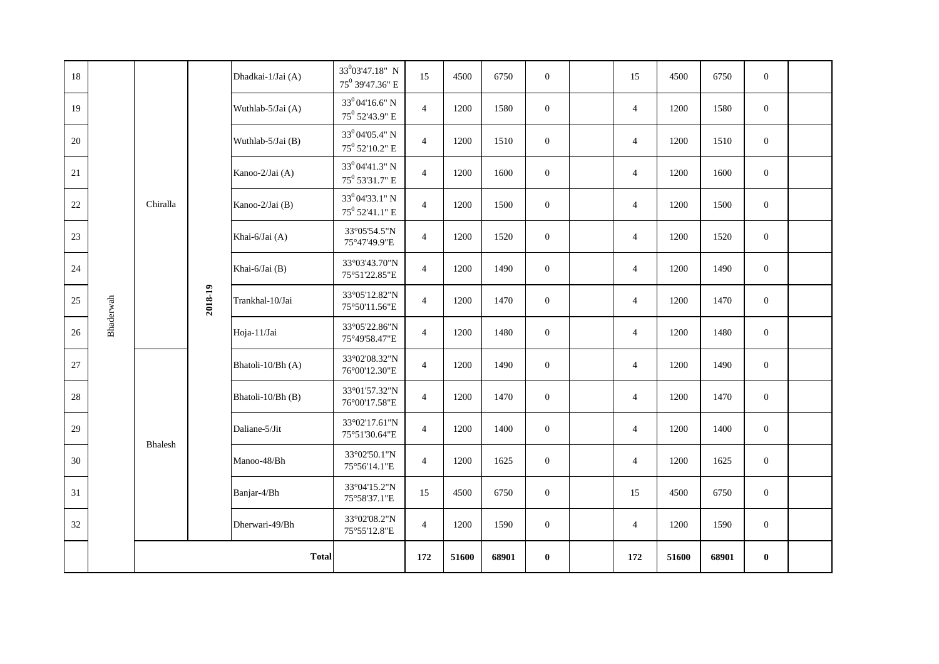| 18 |           |          |         | Dhadkai-1/Jai (A) | 33 <sup>0</sup> 03'47.18" N<br>75 <sup>0</sup> 39'47.36" E | 15             | 4500  | 6750  | $\overline{0}$ | 15             | 4500  | 6750  | $\mathbf{0}$     |  |
|----|-----------|----------|---------|-------------------|------------------------------------------------------------|----------------|-------|-------|----------------|----------------|-------|-------|------------------|--|
| 19 |           |          |         | Wuthlab-5/Jai (A) | $33^004'16.6''$ N<br>75 <sup>0</sup> 52'43.9" E            | $\overline{4}$ | 1200  | 1580  | $\overline{0}$ | $\overline{4}$ | 1200  | 1580  | $\mathbf{0}$     |  |
| 20 |           |          |         | Wuthlab-5/Jai (B) | $33^004'05.4"$ N<br>$75^0$ 52'10.2" E                      | $\overline{4}$ | 1200  | 1510  | $\overline{0}$ | $\overline{4}$ | 1200  | 1510  | $\boldsymbol{0}$ |  |
| 21 |           |          |         | Kanoo-2/Jai (A)   | 33 <sup>0</sup> 04'41.3" N<br>75 <sup>0</sup> 53'31.7" E   | $\overline{4}$ | 1200  | 1600  | $\mathbf{0}$   | $\overline{4}$ | 1200  | 1600  | $\boldsymbol{0}$ |  |
| 22 |           | Chiralla |         | Kanoo-2/Jai (B)   | 33 <sup>0</sup> 04'33.1" N<br>$75^0$ 52'41.1" E            | $\overline{4}$ | 1200  | 1500  | $\overline{0}$ | $\overline{4}$ | 1200  | 1500  | $\mathbf{0}$     |  |
| 23 |           |          |         | Khai-6/Jai (A)    | 33°05'54.5"N<br>75°47'49.9"E                               | $\overline{4}$ | 1200  | 1520  | $\mathbf{0}$   | $\overline{4}$ | 1200  | 1520  | $\mathbf{0}$     |  |
| 24 |           |          |         | Khai-6/Jai (B)    | 33°03'43.70"N<br>75°51'22.85"E                             | $\overline{4}$ | 1200  | 1490  | $\overline{0}$ | $\overline{4}$ | 1200  | 1490  | $\mathbf{0}$     |  |
| 25 | Bhaderwah |          | 2018-19 | Trankhal-10/Jai   | 33°05'12.82"N<br>75°50'11.56"E                             | $\overline{4}$ | 1200  | 1470  | $\overline{0}$ | $\overline{4}$ | 1200  | 1470  | $\mathbf{0}$     |  |
| 26 |           |          |         | Hoja-11/Jai       | 33°05'22.86"N<br>75°49'58.47"E                             | $\overline{4}$ | 1200  | 1480  | $\overline{0}$ | $\overline{4}$ | 1200  | 1480  | $\mathbf{0}$     |  |
| 27 |           |          |         | Bhatoli-10/Bh (A) | 33°02'08.32"N<br>76°00'12.30"E                             | $\overline{4}$ | 1200  | 1490  | $\overline{0}$ | $\overline{4}$ | 1200  | 1490  | $\mathbf{0}$     |  |
| 28 |           |          |         | Bhatoli-10/Bh (B) | 33°01'57.32"N<br>76°00'17.58"E                             | $\overline{4}$ | 1200  | 1470  | $\overline{0}$ | $\overline{4}$ | 1200  | 1470  | $\mathbf{0}$     |  |
| 29 |           | Bhalesh  |         | Daliane-5/Jit     | 33°02'17.61"N<br>75°51'30.64"E                             | $\overline{4}$ | 1200  | 1400  | $\overline{0}$ | $\overline{4}$ | 1200  | 1400  | $\boldsymbol{0}$ |  |
| 30 |           |          |         | Manoo-48/Bh       | 33°02'50.1"N<br>75°56'14.1"E                               | $\overline{4}$ | 1200  | 1625  | $\overline{0}$ | $\overline{4}$ | 1200  | 1625  | $\boldsymbol{0}$ |  |
| 31 |           |          |         | Banjar-4/Bh       | 33°04'15.2"N<br>75°58'37.1"E                               | 15             | 4500  | 6750  | $\overline{0}$ | 15             | 4500  | 6750  | $\boldsymbol{0}$ |  |
| 32 |           |          |         | Dherwari-49/Bh    | 33°02'08.2"N<br>75°55'12.8"E                               | $\overline{4}$ | 1200  | 1590  | $\mathbf{0}$   | $\overline{4}$ | 1200  | 1590  | $\boldsymbol{0}$ |  |
|    |           |          |         | <b>Total</b>      |                                                            | 172            | 51600 | 68901 | $\bf{0}$       | 172            | 51600 | 68901 | $\bf{0}$         |  |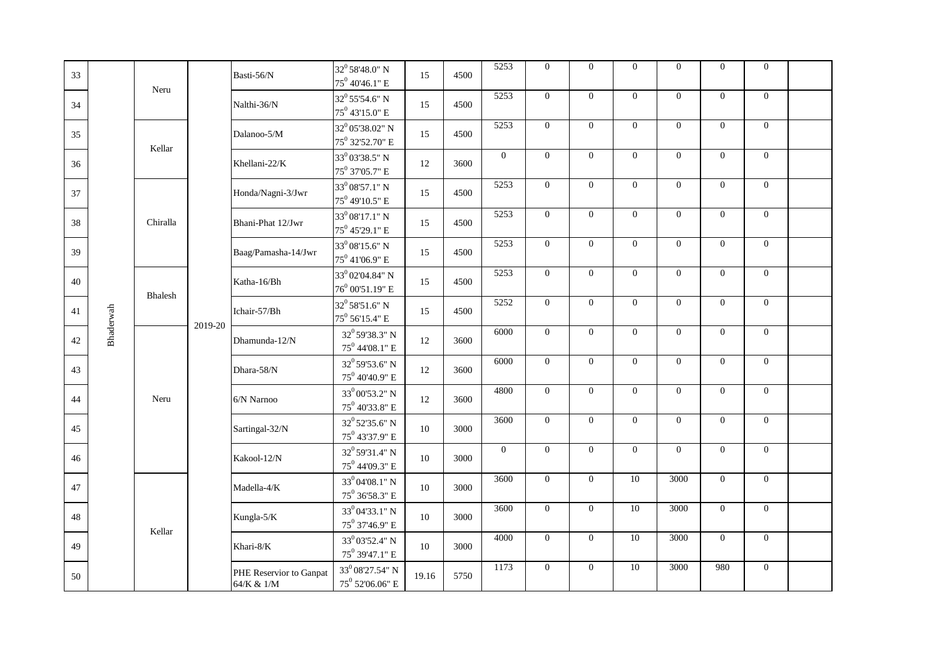| 33 |           | Neru     |         | Basti-56/N                            | 32 <sup>0</sup> 58'48.0" N<br>$75^0$ 40'46.1" E               | 15    | 4500 | 5253     | $\overline{0}$ | $\overline{0}$ | $\overline{0}$  | $\overline{0}$   | $\mathbf{0}$   | $\mathbf{0}$     |  |
|----|-----------|----------|---------|---------------------------------------|---------------------------------------------------------------|-------|------|----------|----------------|----------------|-----------------|------------------|----------------|------------------|--|
| 34 |           |          |         | Nalthi-36/N                           | 32 <sup>0</sup> 55'54.6" N<br>$75^0$ 43'15.0" E               | 15    | 4500 | 5253     | $\theta$       | $\theta$       | $\theta$        | $\mathbf{0}$     | $\overline{0}$ | $\overline{0}$   |  |
| 35 |           | Kellar   |         | Dalanoo-5/M                           | 32 <sup>0</sup> 05'38.02" N<br>75 <sup>0</sup> 32'52.70" E    | 15    | 4500 | 5253     | $\theta$       | $\theta$       | $\overline{0}$  | $\mathbf{0}$     | $\overline{0}$ | $\overline{0}$   |  |
| 36 |           |          |         | Khellani-22/K                         | 33 <sup>0</sup> 03'38.5" N<br>75 <sup>0</sup> 37'05.7" E      | 12    | 3600 | $\Omega$ | $\mathbf{0}$   | $\mathbf{0}$   | $\overline{0}$  | $\mathbf{0}$     | $\overline{0}$ | $\overline{0}$   |  |
| 37 |           |          |         | Honda/Nagni-3/Jwr                     | 33 <sup>0</sup> 08'57.1" N<br>$75^0$ 49'10.5" E               | 15    | 4500 | 5253     | $\mathbf{0}$   | $\overline{0}$ | $\overline{0}$  | $\overline{0}$   | $\overline{0}$ | $\overline{0}$   |  |
| 38 |           | Chiralla |         | Bhani-Phat 12/Jwr                     | $33^0\,08'17.1"$ N<br>$75^0$ 45'29.1" E                       | 15    | 4500 | 5253     | $\overline{0}$ | $\overline{0}$ | $\overline{0}$  | $\overline{0}$   | $\overline{0}$ | $\overline{0}$   |  |
| 39 |           |          |         | Baag/Pamasha-14/Jwr                   | $33^0\,08'15.6"$ N<br>75 <sup>0</sup> 41'06.9" E              | 15    | 4500 | 5253     | $\overline{0}$ | $\overline{0}$ | $\overline{0}$  | $\overline{0}$   | $\overline{0}$ | $\overline{0}$   |  |
| 40 |           | Bhalesh  |         | Katha-16/Bh                           | 33 <sup>0</sup> 02'04.84" N<br>$76^0$ 00'51.19" E             | 15    | 4500 | 5253     | $\overline{0}$ | $\overline{0}$ | $\overline{0}$  | $\mathbf{0}$     | $\overline{0}$ | $\overline{0}$   |  |
| 41 | Bhaderwah |          | 2019-20 | Ichair-57/Bh                          | 32 <sup>0</sup> 58'51.6" N<br>$75^0$ 56'15.4" E               | 15    | 4500 | 5252     | $\overline{0}$ | $\mathbf{0}$   | $\overline{0}$  | $\overline{0}$   | $\overline{0}$ | $\overline{0}$   |  |
| 42 |           |          |         | Dhamunda-12/N                         | $32^0$ 59'38.3" N<br>$75^0$ 44'08.1" E                        | 12    | 3600 | 6000     | $\mathbf{0}$   | $\overline{0}$ | $\overline{0}$  | $\overline{0}$   | $\overline{0}$ | $\overline{0}$   |  |
| 43 |           |          |         | Dhara-58/N                            | 32 <sup>0</sup> 59'53.6" N<br>$75^0$ 40'40.9" E               | 12    | 3600 | 6000     | $\mathbf{0}$   | $\mathbf{0}$   | $\overline{0}$  | $\boldsymbol{0}$ | $\mathbf{0}$   | $\boldsymbol{0}$ |  |
| 44 |           | Neru     |         | 6/N Narnoo                            | 33 <sup>0</sup> 00'53.2" N<br>$75^0$ 40'33.8" E               | 12    | 3600 | 4800     | $\overline{0}$ | $\mathbf{0}$   | $\overline{0}$  | $\overline{0}$   | $\overline{0}$ | $\overline{0}$   |  |
| 45 |           |          |         | Sartingal-32/N                        | 32 <sup>0</sup> 52'35.6" N<br>$75^0$ 43'37.9" $\rm E$         | 10    | 3000 | 3600     | $\overline{0}$ | $\overline{0}$ | $\overline{0}$  | $\overline{0}$   | $\overline{0}$ | $\overline{0}$   |  |
| 46 |           |          |         | Kakool-12/N                           | 32 <sup>0</sup> 59'31.4" N<br>$75^0$ 44'09.3" E               | 10    | 3000 | $\Omega$ | $\Omega$       | $\theta$       | $\theta$        | $\Omega$         | $\overline{0}$ | $\overline{0}$   |  |
| 47 |           |          |         | Madella-4/K                           | $33^004'08.1"$ N<br>$75^0$ $36^{\prime}58.3^{\prime\prime}$ E | 10    | 3000 | 3600     | $\overline{0}$ | $\theta$       | 10              | 3000             | $\overline{0}$ | $\overline{0}$   |  |
| 48 |           | Kellar   |         | Kungla-5/K                            | 33 <sup>0</sup> 04'33.1" N<br>$75^0$ 37'46.9" E               | 10    | 3000 | 3600     | $\overline{0}$ | $\theta$       | 10              | 3000             | $\overline{0}$ | $\overline{0}$   |  |
| 49 |           |          |         | Khari-8/K                             | 33 <sup>0</sup> 03'52.4" N<br>75 <sup>0</sup> 39'47.1" E      | 10    | 3000 | 4000     | $\Omega$       | $\overline{0}$ | 10              | 3000             | $\overline{0}$ | $\boldsymbol{0}$ |  |
| 50 |           |          |         | PHE Reservior to Ganpat<br>64/K & 1/M | $33^0\,08'27.54"$ N<br>$75^0$ 52'06.06" E                     | 19.16 | 5750 | 1173     | $\mathbf{0}$   | $\mathbf{0}$   | $\overline{10}$ | 3000             | 980            | $\boldsymbol{0}$ |  |